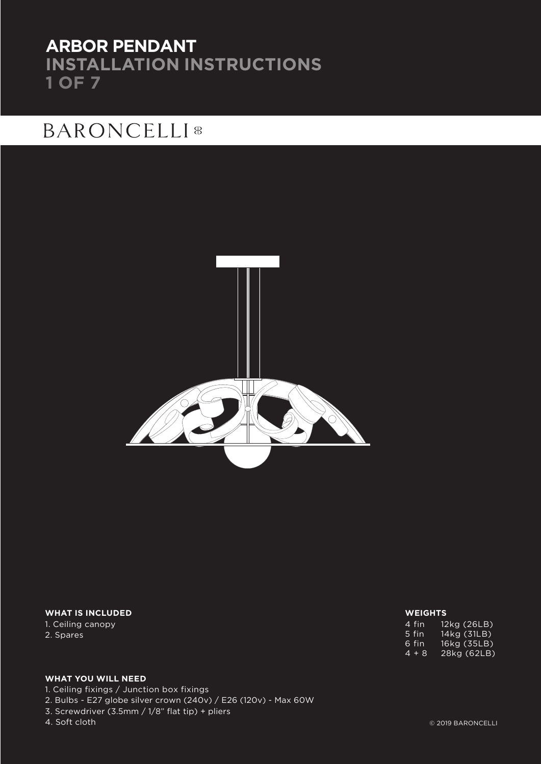## **ARBOR PENDANT INSTALLATION INSTRUCTIONS 1 OF 7**

## **BARONCELLI**<sup>8</sup>



### **WHAT IS INCLUDED**

1. Ceiling canopy 2. Spares

### **WEIGHTS**

| 4 fin | 12kg (26LB) |
|-------|-------------|
| 5 fin | 14kg (31LB) |
| հ fin | 16kg (35LB) |
| 4 + 8 | 28kg (62LB) |

### **WHAT YOU WILL NEED**

1. Ceiling fixings / Junction box fixings

2. Bulbs - E27 globe silver crown (240v) / E26 (120v) - Max 60W

3. Screwdriver (3.5mm / 1/8" flat tip) + pliers

### 4. Soft cloth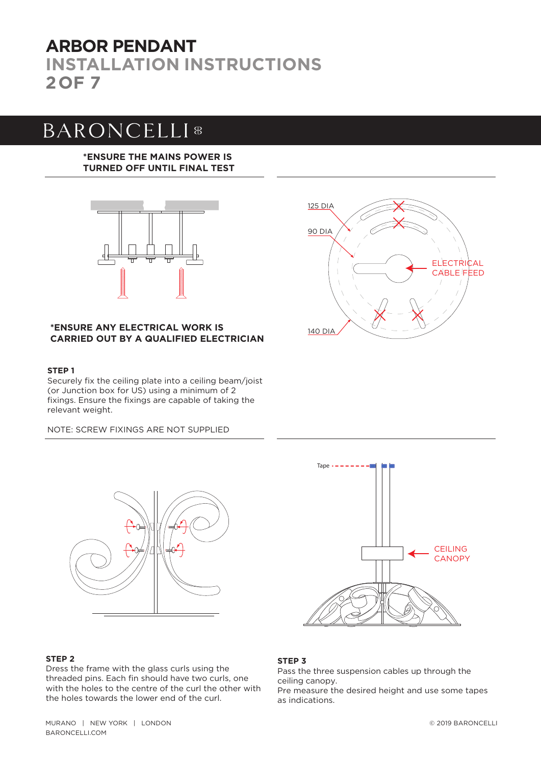## **INSTALLATION INSTRUCTIONS 2OF 7 ARBOR PENDANT**

# **BARONCELLI**<sup>8</sup>

### **\*ENSURE THE MAINS POWER IS TURNED OFF UNTIL FINAL TEST**



### **\*ENSURE ANY ELECTRICAL WORK IS CARRIED OUT BY A QUALIFIED ELECTRICIAN**

### **STEP 1**

Securely fix the ceiling plate into a ceiling beam/joist (or Junction box for US) using a minimum of 2 fixings. Ensure the fixings are capable of taking the relevant weight.

NOTE: SCREW FIXINGS ARE NOT SUPPLIED





### **STEP 2**

Dress the frame with the glass curls using the threaded pins. Each fin should have two curls, one with the holes to the centre of the curl the other with the holes towards the lower end of the curl.



### **STEP 3**

Pass the three suspension cables up through the ceiling canopy. Pre measure the desired height and use some tapes as indications.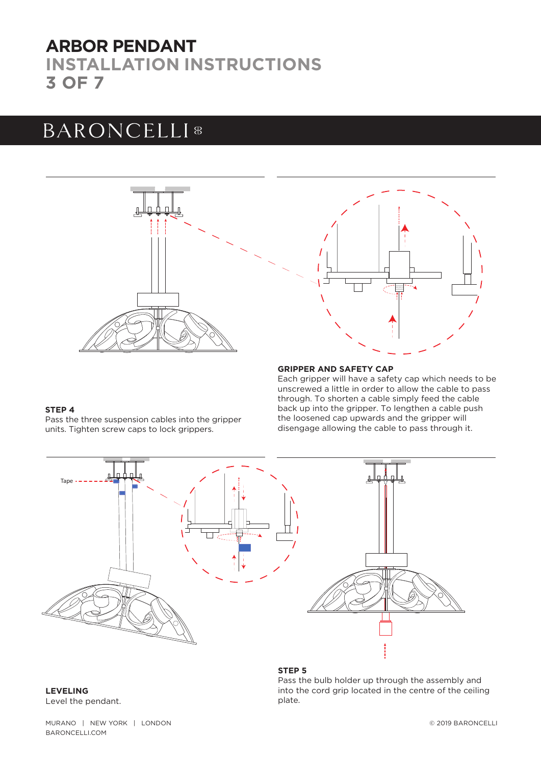## **INSTALLATION INSTRUCTIONS 3 OF 7 ARBOR PENDANT**

# **BARONCELLI**<sup>8</sup>





### **GRIPPER AND SAFETY CAP**

Each gripper will have a safety cap which needs to be unscrewed a little in order to allow the cable to pass through. To shorten a cable simply feed the cable back up into the gripper. To lengthen a cable push the loosened cap upwards and the gripper will disengage allowing the cable to pass through it.

#### **STEP 4**

Pass the three suspension cables into the gripper units. Tighten screw caps to lock grippers.



#### **STEP 5**

Pass the bulb holder up through the assembly and into the cord grip located in the centre of the ceiling plate.

**LEVELING** Level the pendant.

MURANO | NEW YORK | LONDON BARONCELLI.COM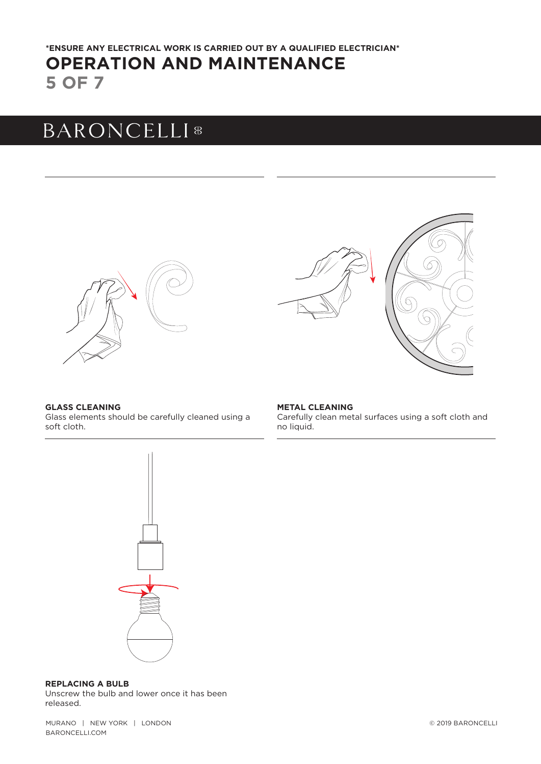### **5 OF 7 OPERATION AND MAINTENANCE \*ENSURE ANY ELECTRICAL WORK IS CARRIED OUT BY A QUALIFIED ELECTRICIAN\***

## **BARONCELLI**<sup>8</sup>







### **GLASS CLEANING**

Glass elements should be carefully cleaned using a soft cloth.

**METAL CLEANING** Carefully clean metal surfaces using a soft cloth and no liquid.



### **REPLACING A BULB**

Unscrew the bulb and lower once it has been released.

MURANO | NEW YORK | LONDON BARONCELLI.COM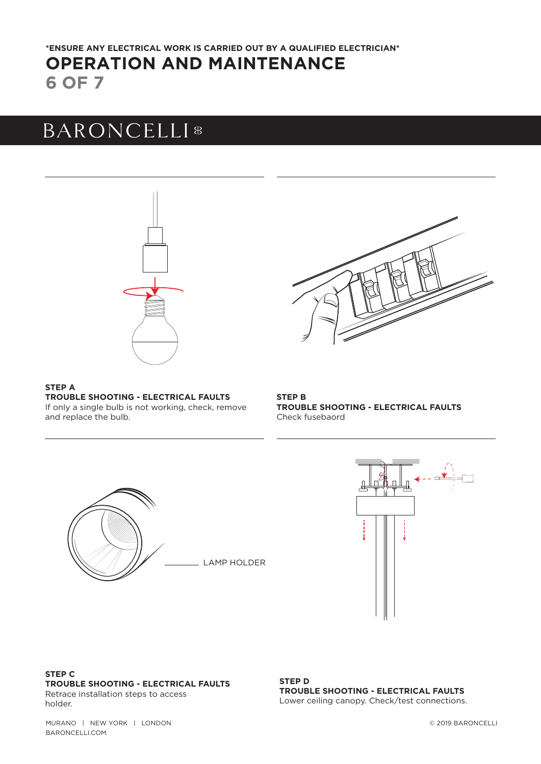### **6 OF 7 OPERATION AND MAINTENANCE \*ENSURE ANY ELECTRICAL WORK IS CARRIED OUT BY A QUALIFIED ELECTRICIAN\***

# **BARONCELLI**<sup>8</sup>



**STEP A TROUBLE SHOOTING - ELECTRICAL FAULTS**  If only a single bulb is not working, check, remove and replace the bulb.

### **STEP B TROUBLE SHOOTING - ELECTRICAL FAULTS**  Check fusebaord





### **STEP C TROUBLE SHOOTING - ELECTRICAL FAULTS** Retrace installation steps to access

holder.

**STEP D TROUBLE SHOOTING - ELECTRICAL FAULTS**  Lower ceiling canopy. Check/test connections.

MURANO | NEW YORK | LONDON BARONCELLI.COM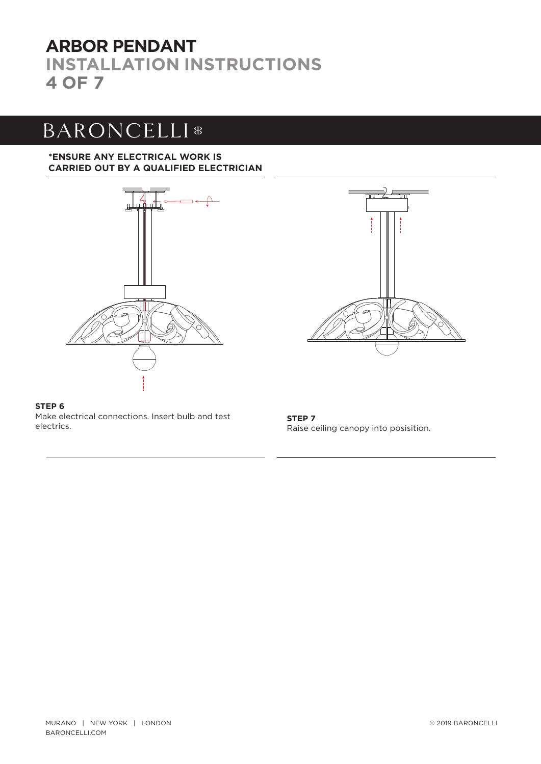## **INSTALLATION INSTRUCTIONS 4 OF 7 ARBOR PENDANT**

# **BARONCELLI**<sup>8</sup>

### **\*ENSURE ANY ELECTRICAL WORK IS CARRIED OUT BY A QUALIFIED ELECTRICIAN**





**STEP 6** Make electrical connections. Insert bulb and test electrics.